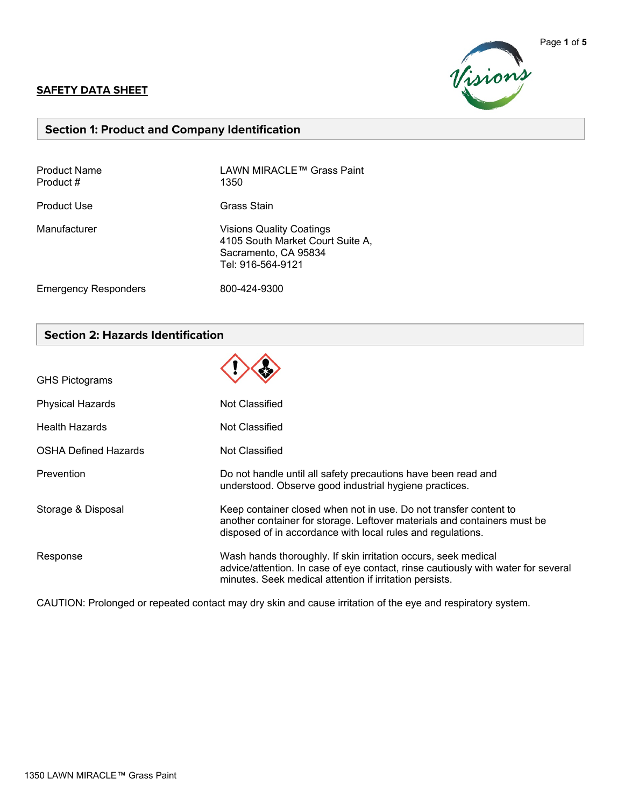#### **SAFETY DATA SHEET**



### **Section 1: Product and Company Identification**

| <b>Product Name</b><br>Product # | LAWN MIRACLE™ Grass Paint<br>1350                                                                                |
|----------------------------------|------------------------------------------------------------------------------------------------------------------|
| Product Use                      | Grass Stain                                                                                                      |
| Manufacturer                     | <b>Visions Quality Coatings</b><br>4105 South Market Court Suite A,<br>Sacramento, CA 95834<br>Tel: 916-564-9121 |
| <b>Emergency Responders</b>      | 800-424-9300                                                                                                     |

# **Section 2: Hazards Identification**

| <b>GHS Pictograms</b>       |                                                                                                                                                                                                                |
|-----------------------------|----------------------------------------------------------------------------------------------------------------------------------------------------------------------------------------------------------------|
| <b>Physical Hazards</b>     | Not Classified                                                                                                                                                                                                 |
| <b>Health Hazards</b>       | Not Classified                                                                                                                                                                                                 |
| <b>OSHA Defined Hazards</b> | Not Classified                                                                                                                                                                                                 |
| Prevention                  | Do not handle until all safety precautions have been read and<br>understood. Observe good industrial hygiene practices.                                                                                        |
| Storage & Disposal          | Keep container closed when not in use. Do not transfer content to<br>another container for storage. Leftover materials and containers must be<br>disposed of in accordance with local rules and regulations.   |
| Response                    | Wash hands thoroughly. If skin irritation occurs, seek medical<br>advice/attention. In case of eye contact, rinse cautiously with water for several<br>minutes. Seek medical attention if irritation persists. |

CAUTION: Prolonged or repeated contact may dry skin and cause irritation of the eye and respiratory system.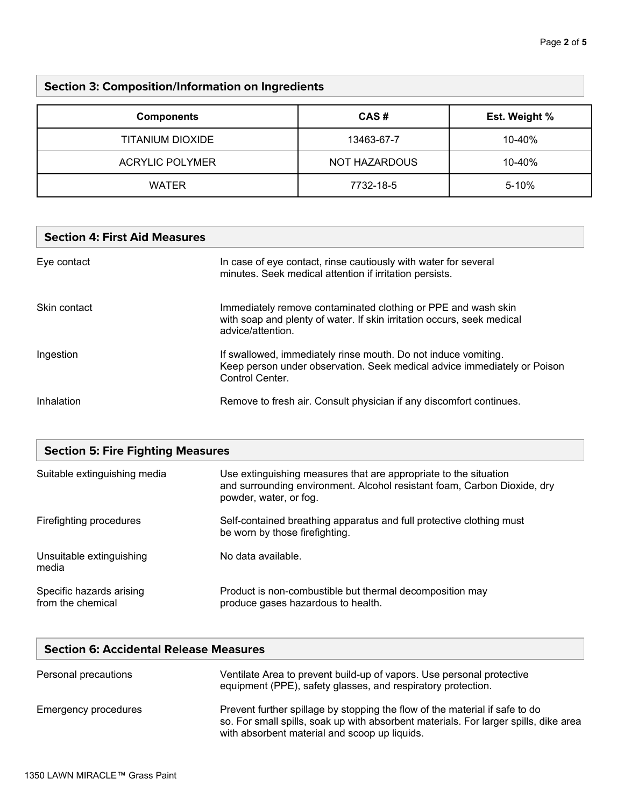# **Section 3: Composition/Information on Ingredients**

| <b>Components</b>      | CAS#          | Est. Weight % |
|------------------------|---------------|---------------|
| TITANIUM DIOXIDE       | 13463-67-7    | 10-40%        |
| <b>ACRYLIC POLYMER</b> | NOT HAZARDOUS | 10-40%        |
| <b>WATER</b>           | 7732-18-5     | $5 - 10%$     |

# **Section 4: First Aid Measures**

| Eye contact  | In case of eye contact, rinse cautiously with water for several<br>minutes. Seek medical attention if irritation persists.                                    |
|--------------|---------------------------------------------------------------------------------------------------------------------------------------------------------------|
| Skin contact | Immediately remove contaminated clothing or PPE and wash skin<br>with soap and plenty of water. If skin irritation occurs, seek medical<br>advice/attention.  |
| Ingestion    | If swallowed, immediately rinse mouth. Do not induce vomiting.<br>Keep person under observation. Seek medical advice immediately or Poison<br>Control Center. |
| Inhalation   | Remove to fresh air. Consult physician if any discomfort continues.                                                                                           |

| <b>Section 5: Fire Fighting Measures</b>      |                                                                                                                                                                        |  |
|-----------------------------------------------|------------------------------------------------------------------------------------------------------------------------------------------------------------------------|--|
| Suitable extinguishing media                  | Use extinguishing measures that are appropriate to the situation<br>and surrounding environment. Alcohol resistant foam, Carbon Dioxide, dry<br>powder, water, or fog. |  |
| Firefighting procedures                       | Self-contained breathing apparatus and full protective clothing must<br>be worn by those firefighting.                                                                 |  |
| Unsuitable extinguishing<br>media             | No data available.                                                                                                                                                     |  |
| Specific hazards arising<br>from the chemical | Product is non-combustible but thermal decomposition may<br>produce gases hazardous to health.                                                                         |  |

| <b>Section 6: Accidental Release Measures</b> |                                                                                                                                                                                                                      |  |
|-----------------------------------------------|----------------------------------------------------------------------------------------------------------------------------------------------------------------------------------------------------------------------|--|
| Personal precautions                          | Ventilate Area to prevent build-up of vapors. Use personal protective<br>equipment (PPE), safety glasses, and respiratory protection.                                                                                |  |
| Emergency procedures                          | Prevent further spillage by stopping the flow of the material if safe to do<br>so. For small spills, soak up with absorbent materials. For larger spills, dike area<br>with absorbent material and scoop up liquids. |  |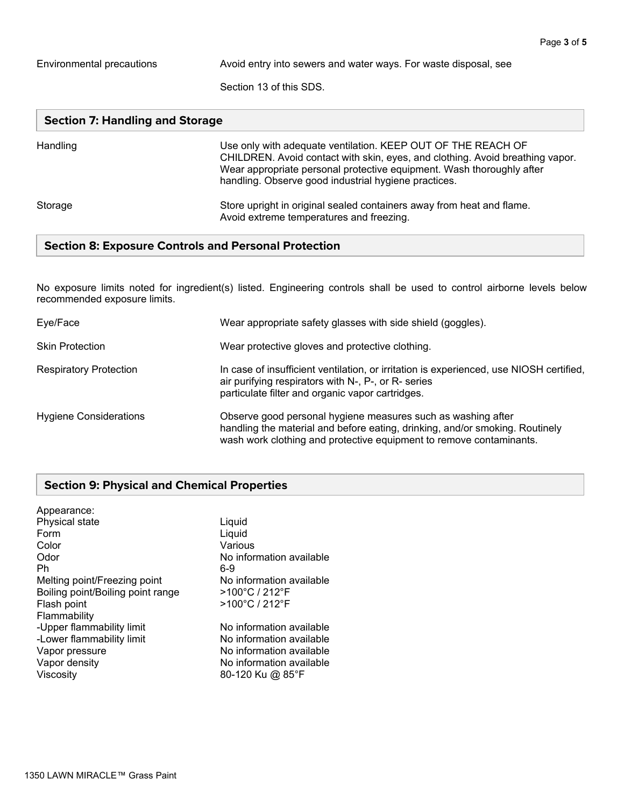Environmental precautions **Avoid entry into sewers and water ways.** For waste disposal, see

Section 13 of this SDS.

| <b>Section 7: Handling and Storage</b> |                                                                                                                                                                                                                                                                                |  |
|----------------------------------------|--------------------------------------------------------------------------------------------------------------------------------------------------------------------------------------------------------------------------------------------------------------------------------|--|
| Handling                               | Use only with adequate ventilation. KEEP OUT OF THE REACH OF<br>CHILDREN. Avoid contact with skin, eyes, and clothing. Avoid breathing vapor.<br>Wear appropriate personal protective equipment. Wash thoroughly after<br>handling. Observe good industrial hygiene practices. |  |
| Storage                                | Store upright in original sealed containers away from heat and flame.<br>Avoid extreme temperatures and freezing.                                                                                                                                                              |  |

## **Section 8: Exposure Controls and Personal Protection**

No exposure limits noted for ingredient(s) listed. Engineering controls shall be used to control airborne levels below recommended exposure limits.

| Eye/Face                      | Wear appropriate safety glasses with side shield (goggles).                                                                                                                                                         |
|-------------------------------|---------------------------------------------------------------------------------------------------------------------------------------------------------------------------------------------------------------------|
| <b>Skin Protection</b>        | Wear protective gloves and protective clothing.                                                                                                                                                                     |
| <b>Respiratory Protection</b> | In case of insufficient ventilation, or irritation is experienced, use NIOSH certified,<br>air purifying respirators with N-, P-, or R- series<br>particulate filter and organic vapor cartridges.                  |
| <b>Hygiene Considerations</b> | Observe good personal hygiene measures such as washing after<br>handling the material and before eating, drinking, and/or smoking. Routinely<br>wash work clothing and protective equipment to remove contaminants. |

### **Section 9: Physical and Chemical Properties**

| Appearance:                       |                          |
|-----------------------------------|--------------------------|
| Physical state                    | Liquid                   |
| Form                              | Liquid                   |
| Color                             | Various                  |
| Odor                              | No information available |
| Ph                                | 6-9                      |
| Melting point/Freezing point      | No information available |
| Boiling point/Boiling point range | >100°C / 212°F           |
| Flash point                       | >100°C / 212°F           |
| Flammability                      |                          |
| -Upper flammability limit         | No information available |
| -Lower flammability limit         | No information available |
| Vapor pressure                    | No information available |
| Vapor density                     | No information available |
| Viscosity                         | 80-120 Ku @ 85°F         |
|                                   |                          |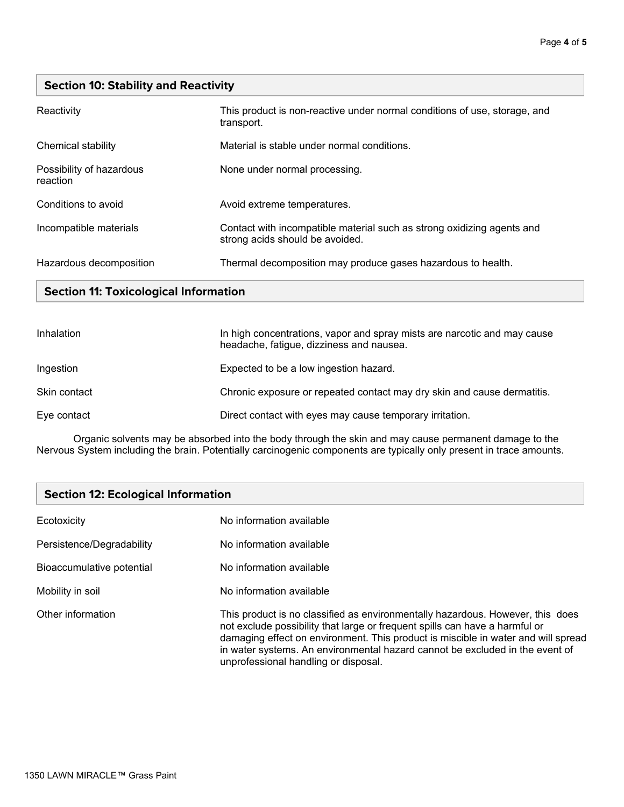## **Section 10: Stability and Reactivity**

| Reactivity                           | This product is non-reactive under normal conditions of use, storage, and<br>transport.                   |
|--------------------------------------|-----------------------------------------------------------------------------------------------------------|
| Chemical stability                   | Material is stable under normal conditions.                                                               |
| Possibility of hazardous<br>reaction | None under normal processing.                                                                             |
| Conditions to avoid                  | Avoid extreme temperatures.                                                                               |
| Incompatible materials               | Contact with incompatible material such as strong oxidizing agents and<br>strong acids should be avoided. |
| Hazardous decomposition              | Thermal decomposition may produce gases hazardous to health.                                              |

## **Section 11: Toxicological Information**

| Inhalation   | In high concentrations, vapor and spray mists are narcotic and may cause<br>headache, fatigue, dizziness and nausea. |
|--------------|----------------------------------------------------------------------------------------------------------------------|
| Ingestion    | Expected to be a low ingestion hazard.                                                                               |
| Skin contact | Chronic exposure or repeated contact may dry skin and cause dermatitis.                                              |
| Eye contact  | Direct contact with eyes may cause temporary irritation.                                                             |

Organic solvents may be absorbed into the body through the skin and may cause permanent damage to the Nervous System including the brain. Potentially carcinogenic components are typically only present in trace amounts.

| <b>Section 12: Ecological Information</b> |                                                                                                                                                                                                                                                                                                                                                                            |
|-------------------------------------------|----------------------------------------------------------------------------------------------------------------------------------------------------------------------------------------------------------------------------------------------------------------------------------------------------------------------------------------------------------------------------|
| Ecotoxicity                               | No information available                                                                                                                                                                                                                                                                                                                                                   |
| Persistence/Degradability                 | No information available                                                                                                                                                                                                                                                                                                                                                   |
| Bioaccumulative potential                 | No information available                                                                                                                                                                                                                                                                                                                                                   |
| Mobility in soil                          | No information available                                                                                                                                                                                                                                                                                                                                                   |
| Other information                         | This product is no classified as environmentally hazardous. However, this does<br>not exclude possibility that large or frequent spills can have a harmful or<br>damaging effect on environment. This product is miscible in water and will spread<br>in water systems. An environmental hazard cannot be excluded in the event of<br>unprofessional handling or disposal. |